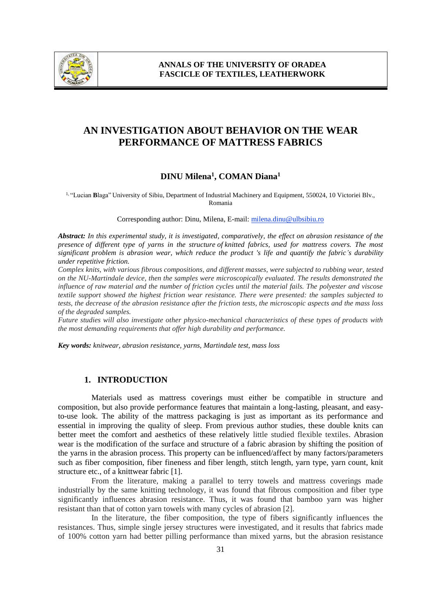

# **AN INVESTIGATION ABOUT BEHAVIOR ON THE WEAR PERFORMANCE OF MATTRESS FABRICS**

### **DINU Milena<sup>1</sup> , COMAN Diana<sup>1</sup>**

<sup>1, "</sup>Lucian **B**laga" University of Sibiu, Department of Industrial Machinery and Equipment, 550024, 10 Victoriei Blv., Romania

Corresponding author: Dinu, Milena, E-mail: milena.dinu@ulbsibiu.ro

*Abstract: In this experimental study, it is investigated, comparatively, the effect on abrasion resistance of the presence of different type of yarns in the structure of knitted fabrics, used for mattress covers. The most significant problem is abrasion wear, which reduce the product 's life and quantify the fabric's durability under repetitive friction.* 

*Complex knits, with various fibrous compositions, and different masses, were subjected to rubbing wear, tested on the NU-Martindale device, then the samples were microscopically evaluated. The results demonstrated the influence of raw material and the number of friction cycles until the material fails. The polyester and viscose textile support showed the highest friction wear resistance. There were presented: the samples subjected to tests, the decrease of the abrasion resistance after the friction tests, the microscopic aspects and the mass loss of the degraded samples.*

*Future studies will also investigate other physico-mechanical characteristics of these types of products with the most demanding requirements that offer high durability and performance.*

*Key words: knitwear, abrasion resistance, yarns, Martindale test, mass loss* 

### **1. INTRODUCTION**

Materials used as mattress coverings must either be compatible in structure and composition, but also provide performance features that maintain a long-lasting, pleasant, and easyto-use look. The ability of the mattress packaging is just as important as its performance and essential in improving the quality of sleep. From previous author studies, these double knits can better meet the comfort and aesthetics of these relatively little studied flexible textiles. Abrasion wear is the modification of the surface and structure of a fabric abrasion by shifting the position of the yarns in the abrasion process. This property can be influenced/affect by many factors/parameters such as fiber composition, fiber fineness and fiber length, stitch length, yarn type, yarn count, knit structure etc., of a knittwear fabric [1].

From the literature, making a parallel to terry towels and mattress coverings made industrially by the same knitting technology, it was found that fibrous composition and fiber type significantly influences abrasion resistance. Thus, it was found that bamboo yarn was higher resistant than that of cotton yarn towels with many cycles of abrasion [2].

In the literature, the fiber composition, the type of fibers significantly influences the resistances. Thus, simple single jersey structures were investigated, and it results that fabrics made of 100% cotton yarn had better pilling performance than mixed yarns, but the abrasion resistance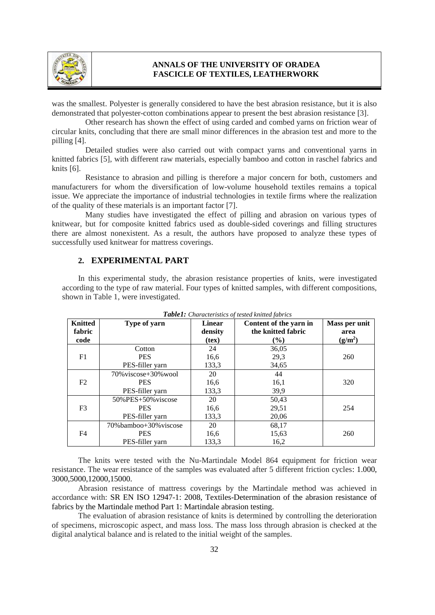

### **ANNALS OF THE UNIVERSITY OF ORADEA FASCICLE OF TEXTILES, LEATHERWORK**

was the smallest. Polyester is generally considered to have the best abrasion resistance, but it is also demonstrated that polyester-cotton combinations appear to present the best abrasion resistance [3].

Other research has shown the effect of using carded and combed yarns on friction wear of circular knits, concluding that there are small minor differences in the abrasion test and more to the pilling [4].

Detailed studies were also carried out with compact yarns and conventional yarns in knitted fabrics [5], with different raw materials, especially bamboo and cotton in raschel fabrics and knits [6].

Resistance to abrasion and pilling is therefore a major concern for both, customers and manufacturers for whom the diversification of low-volume household textiles remains a topical issue. We appreciate the importance of industrial technologies in textile firms where the realization of the quality of these materials is an important factor [7].

Many studies have investigated the effect of pilling and abrasion on various types of knitwear, but for composite knitted fabrics used as double-sided coverings and filling structures there are almost nonexistent. As a result, the authors have proposed to analyze these types of successfully used knitwear for mattress coverings.

#### **2. EXPERIMENTAL PART**

In this experimental study, the abrasion resistance properties of knits, were investigated according to the type of raw material. Four types of knitted samples, with different compositions, shown in Table 1, were investigated.

| <b>Knitted</b><br>fabric<br>code | Type of yarn           | <b>Linear</b><br>density<br>(text) | Content of the yarn in<br>the knitted fabric<br>$(\%)$ | Mass per unit<br>area<br>$(g/m^2)$ |
|----------------------------------|------------------------|------------------------------------|--------------------------------------------------------|------------------------------------|
|                                  | Cotton                 | 24                                 | 36,05                                                  |                                    |
| F1                               | <b>PES</b>             | 16,6                               | 29,3                                                   | 260                                |
|                                  | PES-filler yarn        | 133,3                              | 34,65                                                  |                                    |
|                                  | 70% viscose+30% wool   | 20                                 | 44                                                     |                                    |
| F2                               | <b>PES</b>             | 16,6                               | 16,1                                                   | 320                                |
|                                  | PES-filler yarn        | 133,3                              | 39,9                                                   |                                    |
|                                  | $50\%$ PES+50% viscose | 20                                 | 50,43                                                  |                                    |
| F3                               | <b>PES</b>             | 16,6                               | 29,51                                                  | 254                                |
|                                  | PES-filler yarn        | 133,3                              | 20,06                                                  |                                    |
|                                  | 70%bamboo+30%viscose   | 20                                 | 68,17                                                  |                                    |
| F4                               | <b>PES</b>             | 16,6                               | 15,63                                                  | 260                                |
|                                  | PES-filler yarn        | 133,3                              | 16,2                                                   |                                    |

 $T_{a}L1_{a}1_{c}$  *Characteristics of the fabrics of tested knitted*  $\mathcal{L}_{a}$ 

The knits were tested with the Nu-Martindale Model 864 equipment for friction wear resistance. The wear resistance of the samples was evaluated after 5 different friction cycles: 1.000, 3000,5000,12000,15000.

Abrasion resistance of mattress coverings by the Martindale method was achieved in accordance with: SR EN ISO 12947-1: 2008, Textiles-Determination of the abrasion resistance of fabrics by the Martindale method Part 1: Martindale abrasion testing.

The evaluation of abrasion resistance of knits is determined by controlling the deterioration of specimens, microscopic aspect, and mass loss. The mass loss through abrasion is checked at the digital analytical balance and is related to the initial weight of the samples.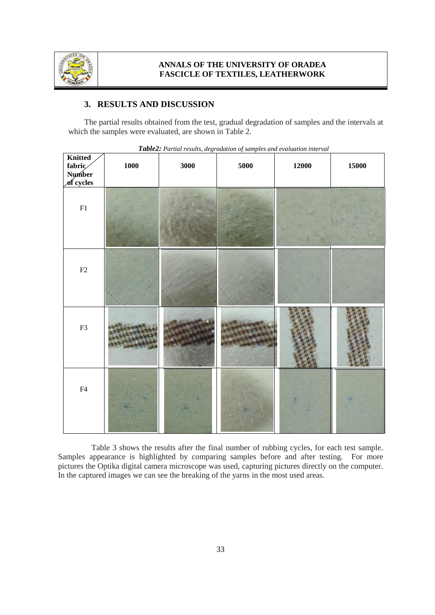

# **3. RESULTS AND DISCUSSION**

The partial results obtained from the test, gradual degradation of samples and the intervals at which the samples were evaluated, are shown in Table 2.

| Knitted<br>fabric<br>Number<br>of cycles | <b>1000</b> | 3000 | 5000 | 12000 | 15000 |
|------------------------------------------|-------------|------|------|-------|-------|
| ${\rm F}1$                               |             |      |      |       |       |
| $\rm F2$                                 |             |      |      |       |       |
| F3                                       |             |      |      |       |       |
| ${\rm F4}$                               |             |      |      |       |       |

*Table2: Partial results, degradation of samples and evaluation interval*

Table 3 shows the results after the final number of rubbing cycles, for each test sample. Samples appearance is highlighted by comparing samples before and after testing. For more pictures the Optika digital camera microscope was used, capturing pictures directly on the computer. In the captured images we can see the breaking of the yarns in the most used areas.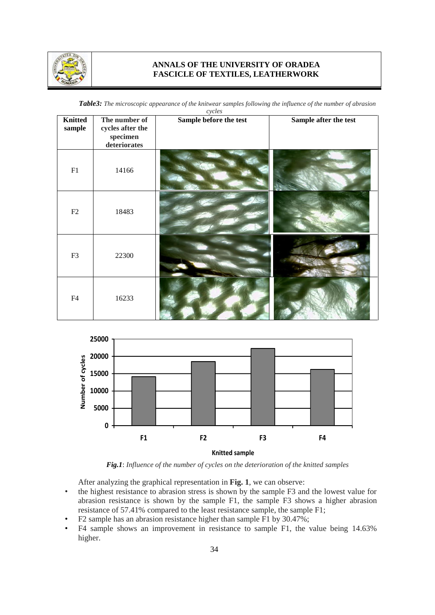

# **ANNALS OF THE UNIVERSITY OF ORADEA FASCICLE OF TEXTILES, LEATHERWORK**

| <b>Table3:</b> The microscopic appearance of the knitwear samples following the influence of the number of abrasion |  |  |
|---------------------------------------------------------------------------------------------------------------------|--|--|
|                                                                                                                     |  |  |

| cycles                   |                                                                             |                        |                       |  |  |
|--------------------------|-----------------------------------------------------------------------------|------------------------|-----------------------|--|--|
| <b>Knitted</b><br>sample | The number of<br>cycles after the<br>$\rm specimen$<br>${\bf deteriorates}$ | Sample before the test | Sample after the test |  |  |
| F1                       | 14166                                                                       |                        |                       |  |  |
| F2                       | 18483                                                                       |                        |                       |  |  |
| F3                       | 22300                                                                       |                        |                       |  |  |
| F4                       | 16233                                                                       |                        |                       |  |  |



*Fig.1*: *Influence of the number of cycles on the deterioration of the knitted samples*

After analyzing the graphical representation in **Fig. 1**, we can observe:

- the highest resistance to abrasion stress is shown by the sample F3 and the lowest value for abrasion resistance is shown by the sample F1, the sample F3 shows a higher abrasion resistance of 57.41% compared to the least resistance sample, the sample F1;
- F2 sample has an abrasion resistance higher than sample F1 by 30.47%;
- F4 sample shows an improvement in resistance to sample F1, the value being 14.63% higher.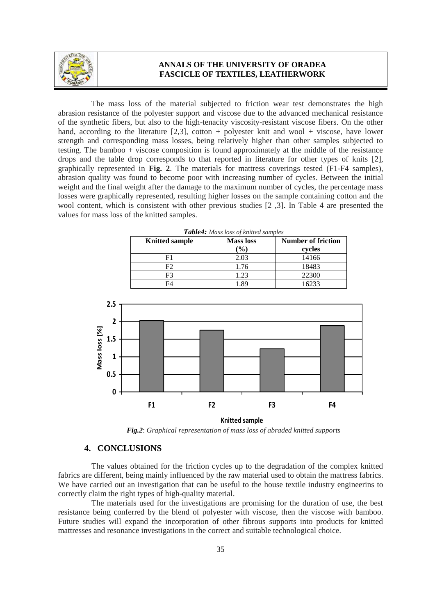

#### **ANNALS OF THE UNIVERSITY OF ORADEA FASCICLE OF TEXTILES, LEATHERWORK**

The mass loss of the material subjected to friction wear test demonstrates the high abrasion resistance of the polyester support and viscose due to the advanced mechanical resistance of the synthetic fibers, but also to the high-tenacity viscosity-resistant viscose fibers. On the other hand, according to the literature  $[2,3]$ , cotton + polyester knit and wool + viscose, have lower strength and corresponding mass losses, being relatively higher than other samples subjected to testing. The bamboo + viscose composition is found approximately at the middle of the resistance drops and the table drop corresponds to that reported in literature for other types of knits [2], graphically represented in **Fig. 2**. The materials for mattress coverings tested (F1-F4 samples), abrasion quality was found to become poor with increasing number of cycles. Between the initial weight and the final weight after the damage to the maximum number of cycles, the percentage mass losses were graphically represented, resulting higher losses on the sample containing cotton and the wool content, which is consistent with other previous studies [2 ,3]. In Table 4 are presented the values for mass loss of the knitted samples.

| <b>Tuble 7.</b> Inters toss of Kniffed sumples |                  |                           |  |  |  |
|------------------------------------------------|------------------|---------------------------|--|--|--|
| <b>Knitted sample</b>                          | <b>Mass</b> loss | <b>Number of friction</b> |  |  |  |
|                                                | $($ %)           | cycles                    |  |  |  |
|                                                | 2.03             | 14166                     |  |  |  |
| F2                                             | 1.76             | 18483                     |  |  |  |
| F3                                             | l.23             | 22300                     |  |  |  |
| F4                                             |                  | 16233                     |  |  |  |



**Knitted sample**

*Fig.2*: *Graphical representation of mass loss of abraded knitted supports*

#### **4. CONCLUSIONS**

The values obtained for the friction cycles up to the degradation of the complex knitted fabrics are different, being mainly influenced by the raw material used to obtain the mattress fabrics. We have carried out an investigation that can be useful to the house textile industry engineerins to correctly claim the right types of high-quality material.

The materials used for the investigations are promising for the duration of use, the best resistance being conferred by the blend of polyester with viscose, then the viscose with bamboo. Future studies will expand the incorporation of other fibrous supports into products for knitted mattresses and resonance investigations in the correct and suitable technological choice.